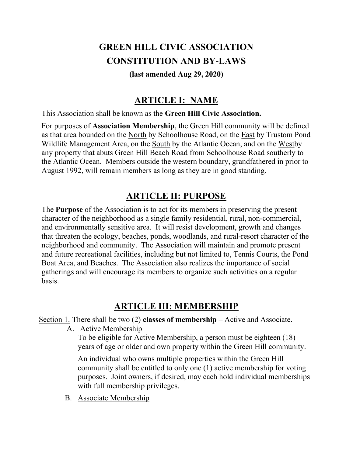# GREEN HILL CIVIC ASSOCIATION CONSTITUTION AND BY-LAWS

#### (last amended Aug 29, 2020)

## ARTICLE I: NAME

This Association shall be known as the Green Hill Civic Association.

For purposes of Association Membership, the Green Hill community will be defined as that area bounded on the North by Schoolhouse Road, on the East by Trustom Pond Wildlife Management Area, on the South by the Atlantic Ocean, and on the Westby any property that abuts Green Hill Beach Road from Schoolhouse Road southerly to the Atlantic Ocean. Members outside the western boundary, grandfathered in prior to August 1992, will remain members as long as they are in good standing.

## ARTICLE II: PURPOSE

The Purpose of the Association is to act for its members in preserving the present character of the neighborhood as a single family residential, rural, non-commercial, and environmentally sensitive area. It will resist development, growth and changes that threaten the ecology, beaches, ponds, woodlands, and rural-resort character of the neighborhood and community. The Association will maintain and promote present and future recreational facilities, including but not limited to, Tennis Courts, the Pond Boat Area, and Beaches. The Association also realizes the importance of social gatherings and will encourage its members to organize such activities on a regular basis.

## ARTICLE III: MEMBERSHIP

Section 1. There shall be two  $(2)$  classes of membership – Active and Associate.

A. Active Membership

To be eligible for Active Membership, a person must be eighteen (18) years of age or older and own property within the Green Hill community.

An individual who owns multiple properties within the Green Hill community shall be entitled to only one (1) active membership for voting purposes. Joint owners, if desired, may each hold individual memberships with full membership privileges.

B. Associate Membership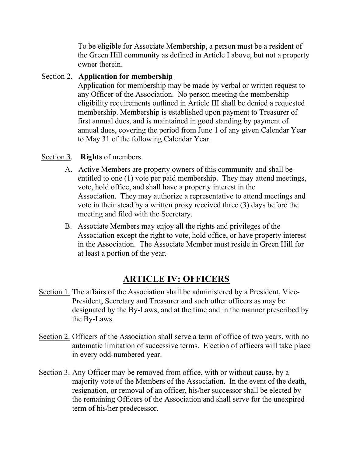To be eligible for Associate Membership, a person must be a resident of the Green Hill community as defined in Article I above, but not a property owner therein.

#### Section 2. Application for membership

Application for membership may be made by verbal or written request to any Officer of the Association. No person meeting the membership eligibility requirements outlined in Article III shall be denied a requested membership. Membership is established upon payment to Treasurer of first annual dues, and is maintained in good standing by payment of annual dues, covering the period from June 1 of any given Calendar Year to May 31 of the following Calendar Year.

#### Section 3. Rights of members.

- A. Active Members are property owners of this community and shall be entitled to one (1) vote per paid membership. They may attend meetings, vote, hold office, and shall have a property interest in the Association. They may authorize a representative to attend meetings and vote in their stead by a written proxy received three (3) days before the meeting and filed with the Secretary.
- B. Associate Members may enjoy all the rights and privileges of the Association except the right to vote, hold office, or have property interest in the Association. The Associate Member must reside in Green Hill for at least a portion of the year.

## ARTICLE IV: OFFICERS

- Section 1. The affairs of the Association shall be administered by a President, Vice-President, Secretary and Treasurer and such other officers as may be designated by the By-Laws, and at the time and in the manner prescribed by the By-Laws.
- Section 2. Officers of the Association shall serve a term of office of two years, with no automatic limitation of successive terms. Election of officers will take place in every odd-numbered year.
- Section 3. Any Officer may be removed from office, with or without cause, by a majority vote of the Members of the Association. In the event of the death, resignation, or removal of an officer, his/her successor shall be elected by the remaining Officers of the Association and shall serve for the unexpired term of his/her predecessor.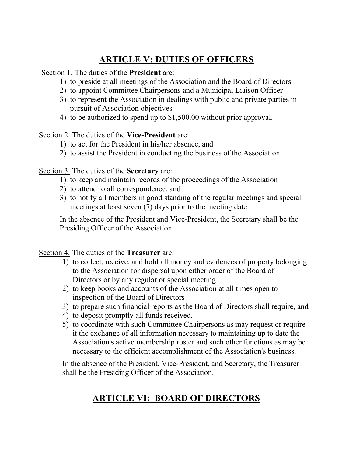# ARTICLE V: DUTIES OF OFFICERS

Section 1. The duties of the President are:

- 1) to preside at all meetings of the Association and the Board of Directors
- 2) to appoint Committee Chairpersons and a Municipal Liaison Officer
- 3) to represent the Association in dealings with public and private parties in pursuit of Association objectives
- 4) to be authorized to spend up to \$1,500.00 without prior approval.

Section 2. The duties of the Vice-President are:

- 1) to act for the President in his/her absence, and
- 2) to assist the President in conducting the business of the Association.

Section 3. The duties of the Secretary are:

- 1) to keep and maintain records of the proceedings of the Association
- 2) to attend to all correspondence, and
- 3) to notify all members in good standing of the regular meetings and special meetings at least seven (7) days prior to the meeting date.

In the absence of the President and Vice-President, the Secretary shall be the Presiding Officer of the Association.

Section 4. The duties of the Treasurer are:

- 1) to collect, receive, and hold all money and evidences of property belonging to the Association for dispersal upon either order of the Board of Directors or by any regular or special meeting
- 2) to keep books and accounts of the Association at all times open to inspection of the Board of Directors
- 3) to prepare such financial reports as the Board of Directors shall require, and
- 4) to deposit promptly all funds received.
- 5) to coordinate with such Committee Chairpersons as may request or require it the exchange of all information necessary to maintaining up to date the Association's active membership roster and such other functions as may be necessary to the efficient accomplishment of the Association's business.

In the absence of the President, Vice-President, and Secretary, the Treasurer shall be the Presiding Officer of the Association.

# ARTICLE VI: BOARD OF DIRECTORS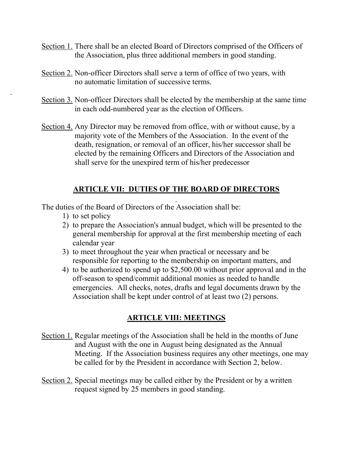- Section 1. There shall be an elected Board of Directors comprised of the Officers of the Association, plus three additional members in good standing.
- Section 2. Non-officer Directors shall serve a term of office of two years, with no automatic limitation of successive terms.
- Section 3. Non-officer Directors shall be elected by the membership at the same time in each odd-numbered year as the election of Officers.
- Section 4. Any Director may be removed from office, with or without cause, by a majority vote of the Members of the Association. In the event of the death, resignation, or removal of an officer, his/her successor shall be elected by the remaining Officers and Directors of the Association and shall serve for the unexpired term of his/her predecessor

#### ARTICLE VII: DUTIES OF THE BOARD OF DIRECTORS  $\overline{\phantom{a}}$

The duties of the Board of Directors of the Association shall be:

1) to set policy

 $\overline{\phantom{a}}$ 

- 2) to prepare the Association's annual budget, which will be presented to the general membership for approval at the first membership meeting of each calendar year
- 3) to meet throughout the year when practical or necessary and be responsible for reporting to the membership on important matters, and
- 4) to be authorized to spend up to \$2,500.00 without prior approval and in the off-season to spend/commit additional monies as needed to handle emergencies. All checks, notes, drafts and legal documents drawn by the Association shall be kept under control of at least two (2) persons.

## ARTICLE VIII: MEETINGS

- Section 1. Regular meetings of the Association shall be held in the months of June and August with the one in August being designated as the Annual Meeting. If the Association business requires any other meetings, one may be called for by the President in accordance with Section 2, below.
- Section 2. Special meetings may be called either by the President or by a written request signed by 25 members in good standing.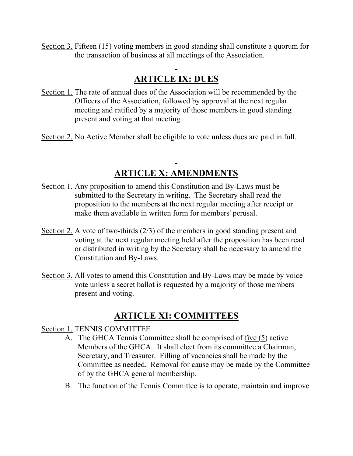Section 3. Fifteen (15) voting members in good standing shall constitute a quorum for the transaction of business at all meetings of the Association.

# ARTICLE IX: DUES

- Section 1. The rate of annual dues of the Association will be recommended by the Officers of the Association, followed by approval at the next regular meeting and ratified by a majority of those members in good standing present and voting at that meeting.
- Section 2. No Active Member shall be eligible to vote unless dues are paid in full.

# ARTICLE X: AMENDMENTS

- Section 1. Any proposition to amend this Constitution and By-Laws must be submitted to the Secretary in writing. The Secretary shall read the proposition to the members at the next regular meeting after receipt or make them available in written form for members' perusal.
- Section 2. A vote of two-thirds (2/3) of the members in good standing present and voting at the next regular meeting held after the proposition has been read or distributed in writing by the Secretary shall be necessary to amend the Constitution and By-Laws.
- Section 3. All votes to amend this Constitution and By-Laws may be made by voice vote unless a secret ballot is requested by a majority of those members present and voting.

## ARTICLE XI: COMMITTEES

#### Section 1. TENNIS COMMITTEE

- A. The GHCA Tennis Committee shall be comprised of five (5) active Members of the GHCA. It shall elect from its committee a Chairman, Secretary, and Treasurer. Filling of vacancies shall be made by the Committee as needed. Removal for cause may be made by the Committee of by the GHCA general membership.
- B. The function of the Tennis Committee is to operate, maintain and improve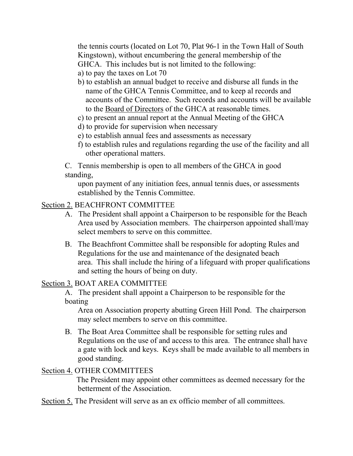the tennis courts (located on Lot 70, Plat 96-1 in the Town Hall of South Kingstown), without encumbering the general membership of the GHCA. This includes but is not limited to the following:

- a) to pay the taxes on Lot 70
- b) to establish an annual budget to receive and disburse all funds in the name of the GHCA Tennis Committee, and to keep al records and accounts of the Committee. Such records and accounts will be available to the Board of Directors of the GHCA at reasonable times.
- c) to present an annual report at the Annual Meeting of the GHCA
- d) to provide for supervision when necessary
- e) to establish annual fees and assessments as necessary
- f) to establish rules and regulations regarding the use of the facility and all other operational matters.

C. Tennis membership is open to all members of the GHCA in good standing,

upon payment of any initiation fees, annual tennis dues, or assessments established by the Tennis Committee.

## Section 2. BEACHFRONT COMMITTEE

- A. The President shall appoint a Chairperson to be responsible for the Beach Area used by Association members. The chairperson appointed shall/may select members to serve on this committee.
- B. The Beachfront Committee shall be responsible for adopting Rules and Regulations for the use and maintenance of the designated beach area. This shall include the hiring of a lifeguard with proper qualifications and setting the hours of being on duty.

## Section 3. BOAT AREA COMMITTEE

A. The president shall appoint a Chairperson to be responsible for the boating

Area on Association property abutting Green Hill Pond. The chairperson may select members to serve on this committee.

B. The Boat Area Committee shall be responsible for setting rules and Regulations on the use of and access to this area. The entrance shall have a gate with lock and keys. Keys shall be made available to all members in good standing.

## Section 4. OTHER COMMITTEES

 The President may appoint other committees as deemed necessary for the betterment of the Association.

Section 5. The President will serve as an ex officio member of all committees.